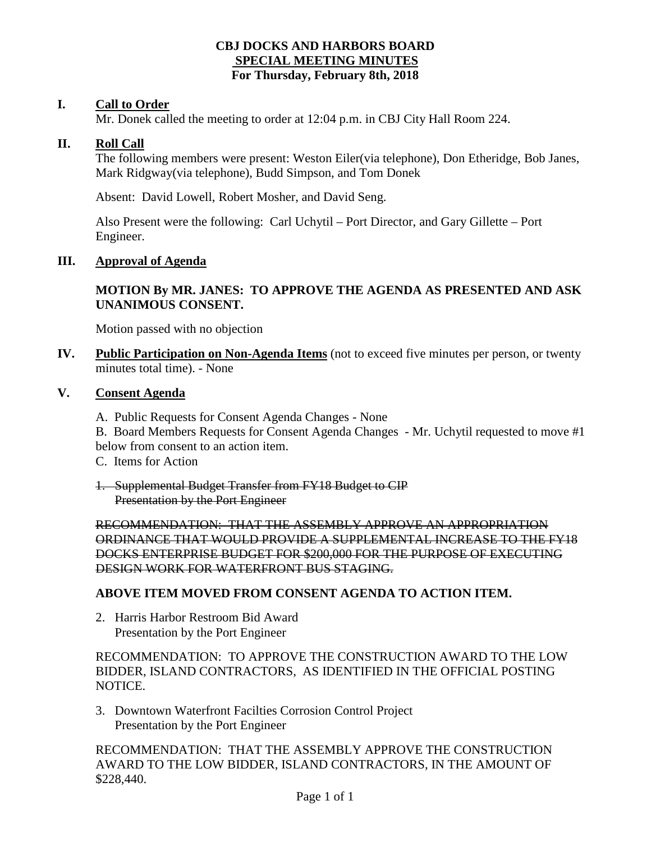## **CBJ DOCKS AND HARBORS BOARD SPECIAL MEETING MINUTES For Thursday, February 8th, 2018**

### **I. Call to Order**

Mr. Donek called the meeting to order at 12:04 p.m. in CBJ City Hall Room 224.

### **II. Roll Call**

The following members were present: Weston Eiler(via telephone), Don Etheridge, Bob Janes, Mark Ridgway(via telephone), Budd Simpson, and Tom Donek

Absent: David Lowell, Robert Mosher, and David Seng.

Also Present were the following: Carl Uchytil – Port Director, and Gary Gillette – Port Engineer.

#### **III. Approval of Agenda**

# **MOTION By MR. JANES: TO APPROVE THE AGENDA AS PRESENTED AND ASK UNANIMOUS CONSENT.**

Motion passed with no objection

**IV. Public Participation on Non-Agenda Items** (not to exceed five minutes per person, or twenty minutes total time). - None

### **V. Consent Agenda**

A. Public Requests for Consent Agenda Changes - None

B. Board Members Requests for Consent Agenda Changes - Mr. Uchytil requested to move #1 below from consent to an action item.

- C. Items for Action
- 1. Supplemental Budget Transfer from FY18 Budget to CIP Presentation by the Port Engineer

RECOMMENDATION: THAT THE ASSEMBLY APPROVE AN APPROPRIATION ORDINANCE THAT WOULD PROVIDE A SUPPLEMENTAL INCREASE TO THE FY18 DOCKS ENTERPRISE BUDGET FOR \$200,000 FOR THE PURPOSE OF EXECUTING DESIGN WORK FOR WATERFRONT BUS STAGING.

### **ABOVE ITEM MOVED FROM CONSENT AGENDA TO ACTION ITEM.**

2. Harris Harbor Restroom Bid Award Presentation by the Port Engineer

RECOMMENDATION: TO APPROVE THE CONSTRUCTION AWARD TO THE LOW BIDDER, ISLAND CONTRACTORS, AS IDENTIFIED IN THE OFFICIAL POSTING NOTICE.

3. Downtown Waterfront Facilties Corrosion Control Project Presentation by the Port Engineer

RECOMMENDATION: THAT THE ASSEMBLY APPROVE THE CONSTRUCTION AWARD TO THE LOW BIDDER, ISLAND CONTRACTORS, IN THE AMOUNT OF \$228,440.